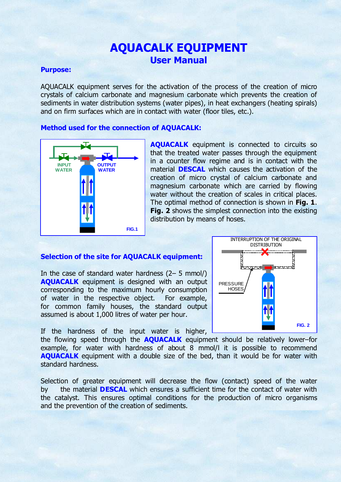## AQUACALK EQUIPMENT User Manual

#### Purpose:

AQUACALK equipment serves for the activation of the process of the creation of micro crystals of calcium carbonate and magnesium carbonate which prevents the creation of sediments in water distribution systems (water pipes), in heat exchangers (heating spirals) and on firm surfaces which are in contact with water (floor tiles, etc.).

## Method used for the connection of AQUACALK:



AQUACALK equipment is connected to circuits so that the treated water passes through the equipment in a counter flow regime and is in contact with the material DESCAL which causes the activation of the creation of micro crystal of calcium carbonate and magnesium carbonate which are carried by flowing water without the creation of scales in critical places. The optimal method of connection is shown in Fig. 1. Fig. 2 shows the simplest connection into the existing distribution by means of hoses.

## Selection of the site for AQUACALK equipment:

In the case of standard water hardness (2– 5 mmol/) AQUACALK equipment is designed with an output corresponding to the maximum hourly consumption of water in the respective object. For example, for common family houses, the standard output assumed is about 1,000 litres of water per hour.

If the hardness of the input water is higher,

the flowing speed through the **AQUACALK** equipment should be relatively lower–for example, for water with hardness of about 8 mmol/l it is possible to recommend **AQUACALK** equipment with a double size of the bed, than it would be for water with standard hardness.

Selection of greater equipment will decrease the flow (contact) speed of the water by the material **DESCAL** which ensures a sufficient time for the contact of water with the catalyst. This ensures optimal conditions for the production of micro organisms and the prevention of the creation of sediments.

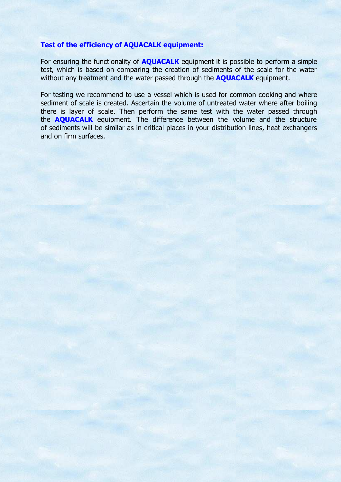#### Test of the efficiency of AQUACALK equipment:

For ensuring the functionality of **AQUACALK** equipment it is possible to perform a simple test, which is based on comparing the creation of sediments of the scale for the water without any treatment and the water passed through the **AQUACALK** equipment.

For testing we recommend to use a vessel which is used for common cooking and where sediment of scale is created. Ascertain the volume of untreated water where after boiling there is layer of scale. Then perform the same test with the water passed through the **AQUACALK** equipment. The difference between the volume and the structure of sediments will be similar as in critical places in your distribution lines, heat exchangers and on firm surfaces.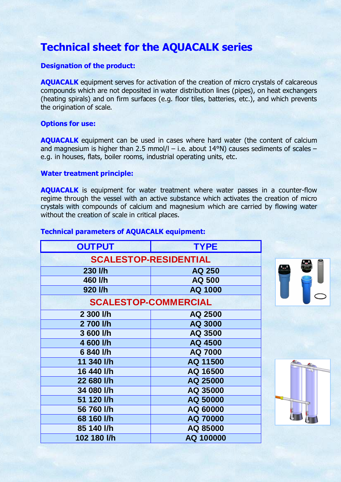# Technical sheet for the AQUACALK series

## Designation of the product:

AQUACALK equipment serves for activation of the creation of micro crystals of calcareous compounds which are not deposited in water distribution lines (pipes), on heat exchangers (heating spirals) and on firm surfaces (e.g. floor tiles, batteries, etc.), and which prevents the origination of scale.

### Options for use:

AQUACALK equipment can be used in cases where hard water (the content of calcium and magnesium is higher than 2.5 mmol/l – i.e. about  $14^{\circ}$ N) causes sediments of scales – e.g. in houses, flats, boiler rooms, industrial operating units, etc.

### Water treatment principle:

AQUACALK is equipment for water treatment where water passes in a counter-flow regime through the vessel with an active substance which activates the creation of micro crystals with compounds of calcium and magnesium which are carried by flowing water without the creation of scale in critical places.

### Technical parameters of AQUACALK equipment:

| <b>OUTPUT</b>                | <b>TYPE</b> |
|------------------------------|-------------|
| <b>SCALESTOP-RESIDENTIAL</b> |             |
| 230 l/h                      | AQ 250      |
| 460 l/h                      | AQ 500      |
| 920 l/h                      | AQ 1000     |
| <b>SCALESTOP-COMMERCIAL</b>  |             |
| 2 300 l/h                    | AQ 2500     |
| 2700 l/h                     | AQ 3000     |
| 3 600 l/h                    | AQ 3500     |
| 4 600 l/h                    | AQ 4500     |
| 6 840 l/h                    | AQ 7000     |
| 11 340 l/h                   | AQ 11500    |
| 16 440 l/h                   | AQ 16500    |
| 22 680 l/h                   | AQ 25000    |
| 34 080 l/h                   | AQ 35000    |
| 51 120 l/h                   | AQ 50000    |
| 56 760 l/h                   | AQ 60000    |
| 68 160 l/h                   | AQ 70000    |
| 85 140 l/h                   | AQ 85000    |
| 102 180 l/h                  | AQ 100000   |
|                              |             |